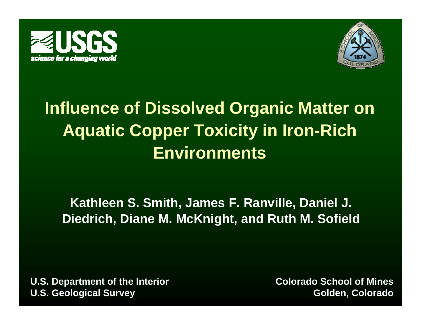



# **Influence of Dissolved Organic Matter on Aquatic Copper Toxicity in Iron-Rich Environments**

#### **Kathleen S. Smith, James F. Ranville, Daniel J. Diedrich, g, Diane M. McKni ght, and Ruth M. Sofield**

**U.S. Department of the Interior U.S. Geological Survey**

**Colorado School of Mines Golden, Colorado**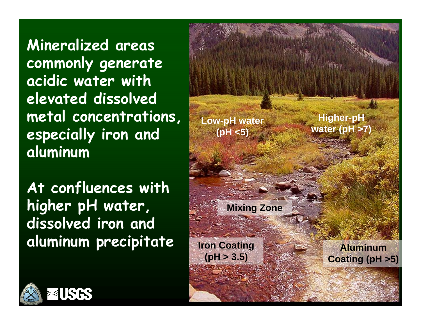**Mineralized areas comm l <sup>t</sup> mmonly generate acidic water with elevated dissolved metal concentrations, aluminum**

At confluences with **higher pH water, dissolved iron and aluminum precipitate Iron Coating**



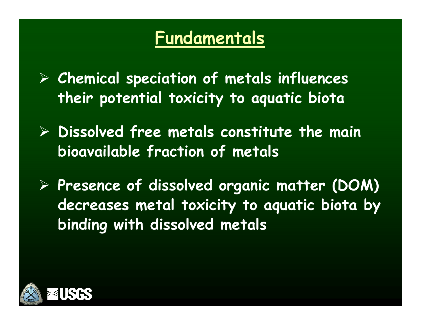## **Fundamentals**

- ¾ **Chemical speciation of metals influences their potential toxicity to aquatic biota**
- ¾ **Dissolved free metals constitute the main bioavailable fraction of metals**
- $P$  Presence of dissolved organic matter (DOM) **decreases metal toxicity to aquatic biota by binding with dissolved metals**

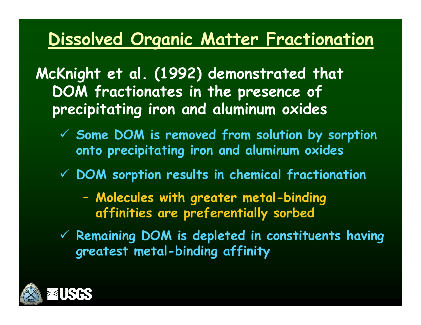#### **Dissolved Organic Matter Fractionation**

**McKnight et al. (1992) demonstrated that DOM fractionates in the presence of precipitating iron and aluminum oxides**

- $\checkmark$  Some DOM is removed from solution by sorption **onto precipitating iron and aluminum oxides**
- 9 **DOM sorption results in chemical fractionation**
	- – **Molecules with greater metal-binding affinities are preferentially sorbed**
- 9 **Remaining DOM is depleted in constituents having greatest metal-binding affinity**

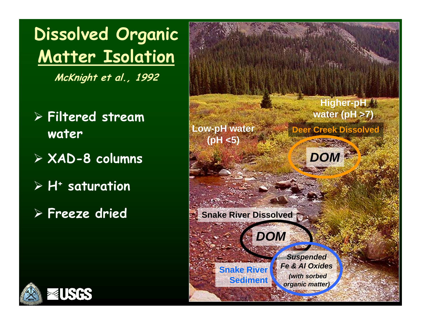**Dissolved Organic Matter Isolation**

**McKnight et al., 1992**

- ¾ **Filtered stream water Low-pH** water
- ¾ **XAD-8 columns**
- ¾ **H+ t ti saturation**
- 



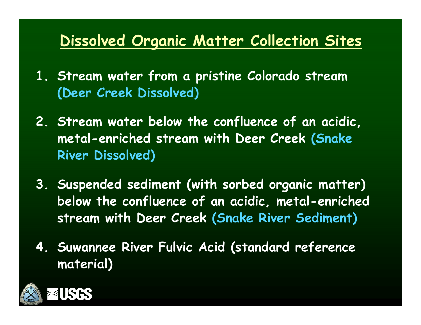#### **Dissolved Organic Matter Collection Sites**

- **1. Stream water from a pristine Colorado stream (Deer Creek Dissolved)**
- **2. Stream water below the confluence of an acidic, metal -enriched stream with Deer Creek (Snake River Dissolved)**
- **3. Suspended sediment (with sorbed organic matter) below the confluence of an acidic, metal-enriched stream with Deer Creek ( ) Snake River Sediment**
- **4. Suwannee River Fulvic Acid (standard reference material)**

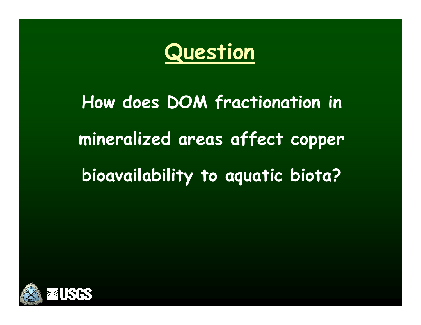

# **How does DOM fractionation in mineralized areas affect copper bioavailability to aquatic biota?**

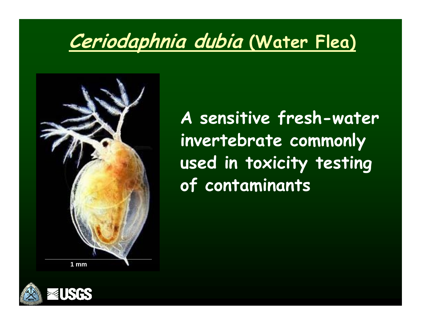# **Ceriodaphnia dubia (Water Flea)**



**A sensitive fresh-water invertebrate commonly used in toxicity testing of contaminants**

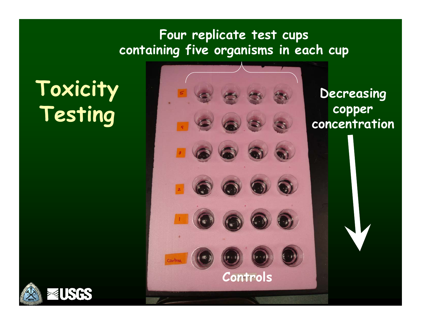#### **Four replicate test cups containing five organisms in each cup**

# **Toxicity**



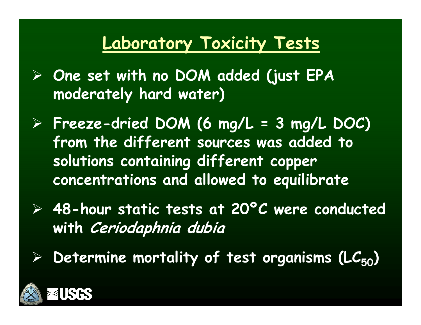#### **Laboratory Toxicity Tests**

- ¾ **One set with no DOM added (just EPA moderatel y ) hard water )**
- ¾ **Freeze-dried DOM (6 mg/L = 3 mg/L DOC) from the different sources was added to solutions containing different copper concentrations and allowed to equilibrate**
- ¾ **48-hour static tests at 20ºC were conducted with C <sup>i</sup> d h <sup>i</sup> d bi Ceriodaphnia dubia**
- $\blacktriangleright$  $\triangleright$  Determine mortality of test organisms (LC<sub>50</sub>)

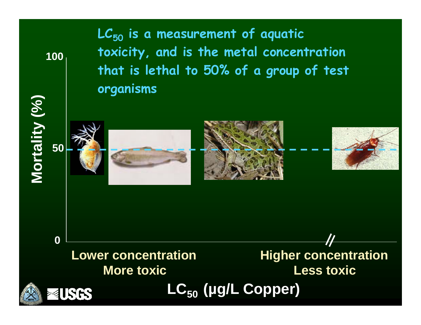100

**)**

**LC50 is a measurement of aquatic toxicity, and is the metal concentration 100that is lethal to 50% of a group of test organisms**

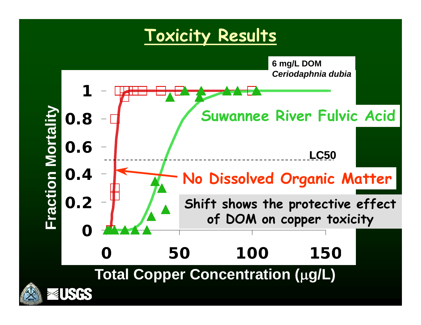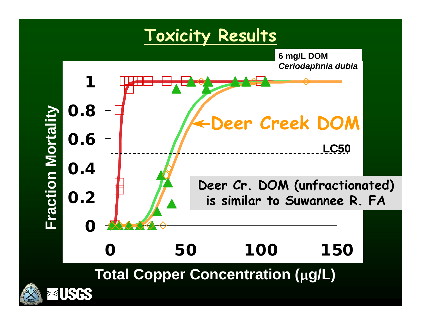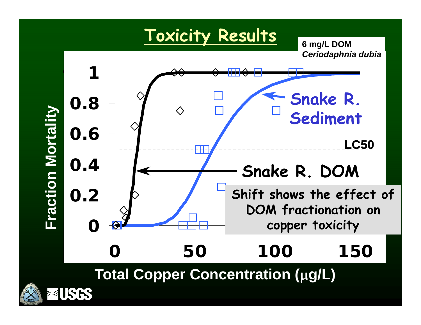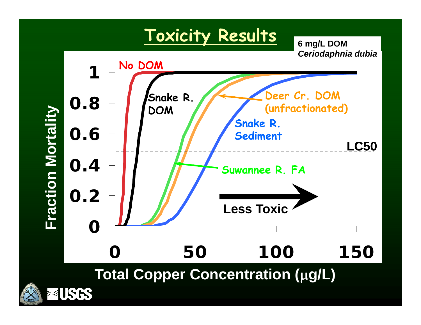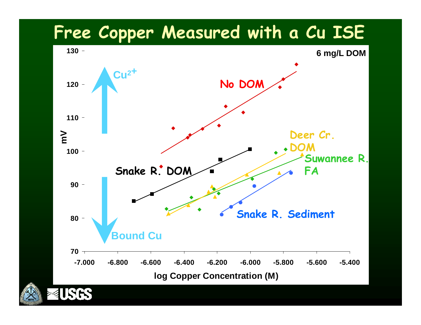#### **Free Copper Measured with a Cu ISE**



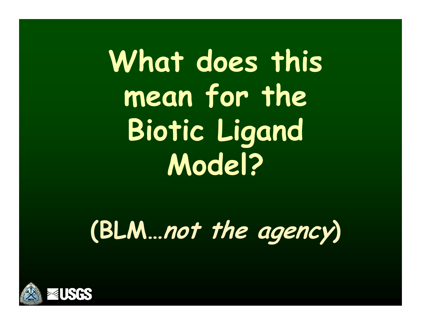What does this **mean for the Biotic Li gand Model?**

**(BLM …not th <sup>e</sup> agency)**

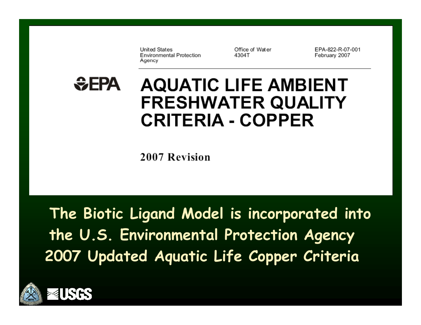**United States Environmental Protection** Agency

Office of Water 4304T

EPA-822-R-07-001 February 2007

#### $EPA$ **AQUATIC LIFE AMBIENT FRESHWATER QUALITY CRITERIA - COPPER**

2007 Revision

**The Biotic Ligand Model is incorporated into the U.S. Environmental Protection Agency 2007 U p q pp dated A quatic Life Copper Criteria**

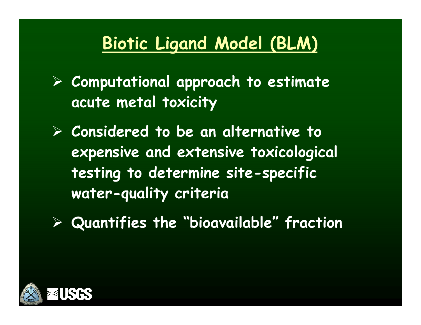### **Biotic Ligand Model (BLM)**

¾ **Computational approach to estimate acute metal toxicity**

¾ **Considered to be an alternative to expensive and extensive toxicological testing to determine site-specific water-quality criteria**

¾ **Quantifies the bioavailable fraction "bioavailable "** 

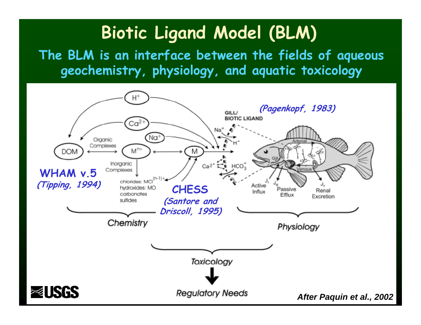## **Biotic Ligand Model (BLM)**

**The BLM f <sup>w</sup> f f q is an inter face bet ween the fields o f a queous geochemistry, physiology, and aquatic toxicology**

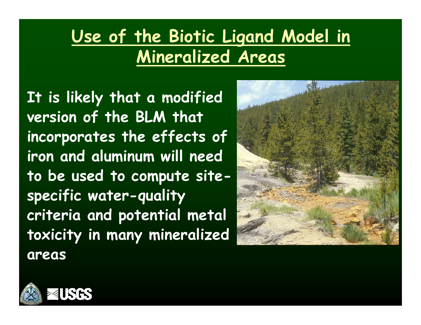# **Use of the Biotic Ligand Model in Mineralized Areas**

**It is likely that a modified version of the BLM that incorporates the effects of iron and aluminum will need to be used to com pute sitespecific water-quality criteria and potential metal toxicity in many mineralized areas**



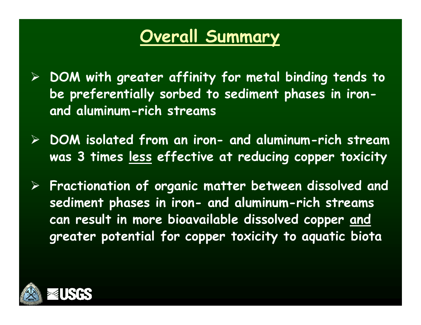#### **Overall Summary**

- ¾ **DOM with greater affinity for metal binding tends to**  be preferentially sorbed to sediment phases in iron**and aluminum-rich streams**
- ¾ **DOM isolated from an iron iron- and aluminum-rich stream was 3 times less effective at reducing copper toxicity**
- $\blacktriangleright$ Fractionation of organic matter between dissolved and **sediment phases in iron- and aluminum-rich streams can result in more bioavailable dissolved copper and greater potential for copper toxicity to aquatic biota**

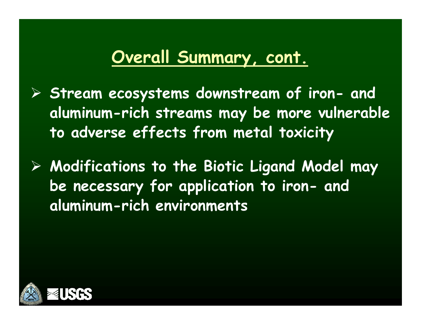#### **Overall Summary cont , .**

- ¾ **Stream ecos ystems downstream of iron- and aluminum-rich streams may be more vulnerable to adverse effects from metal toxicity**
- ¾ **Modifications to the Biotic Ligand Model may b f li ti t i <sup>e</sup> necessary for application o iron- and aluminum-rich environments**

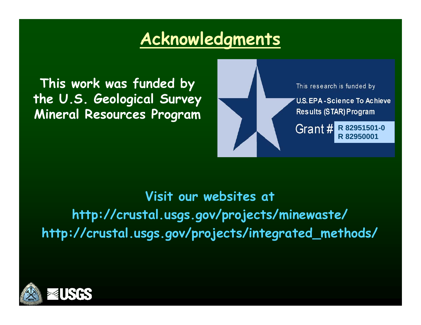#### **Acknowledgments**

**This work was funded by the U.S. Geological Survey Mineral Resources Program** 



#### **Visit our websites at http://crustal.usgs.gov/projects/minewaste/ http://crustal.usgs.gov/projects/integrated\_methods/**